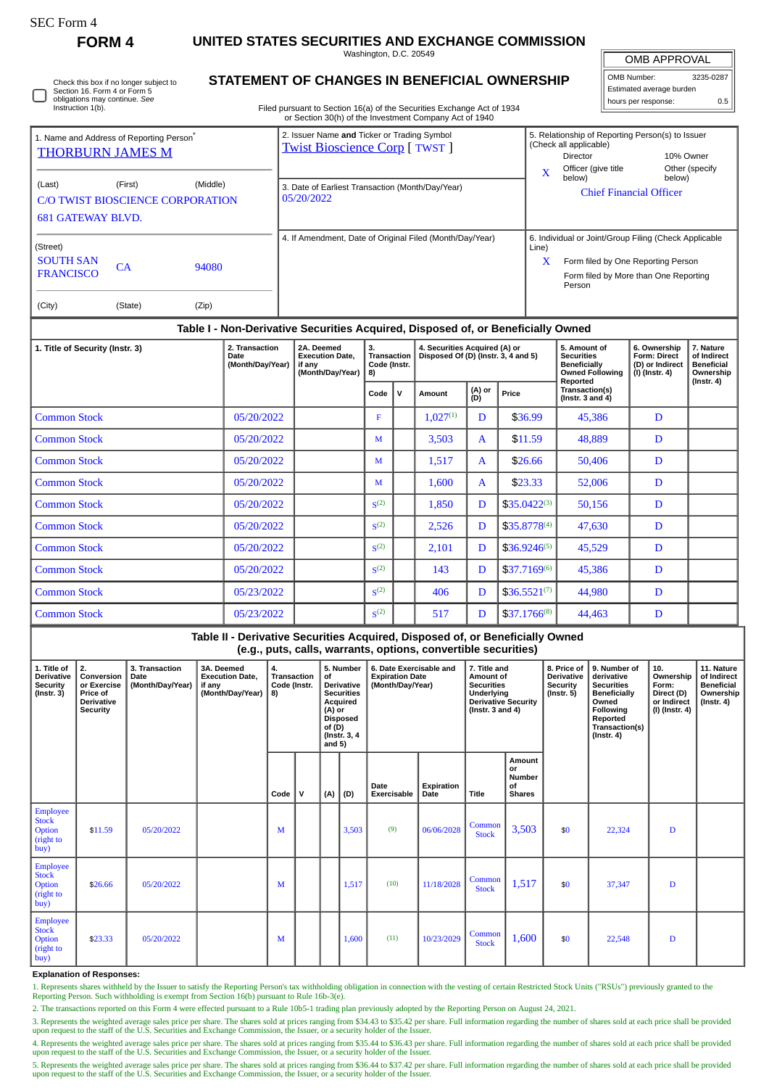| - C Form |
|----------|
|----------|

## **FORM 4 UNITED STATES SECURITIES AND EXCHANGE COMMISSION**

Washington, D.C. 20549

I OMB APPROVAL

| OMB Number:              | 3235-0287 |  |  |  |  |  |  |
|--------------------------|-----------|--|--|--|--|--|--|
| Estimated average burden |           |  |  |  |  |  |  |
| hours per response:      | 0.5       |  |  |  |  |  |  |

| 0 | Check this box if no longer subject to<br>Section 16. Form 4 or Form 5<br>obligations may continue. See<br>Instruction 1(b). |
|---|------------------------------------------------------------------------------------------------------------------------------|
|---|------------------------------------------------------------------------------------------------------------------------------|

## **STATEMENT OF CHANGES IN BENEFICIAL OWNERSHIP**

Filed pursuant to Section 16(a) of the Securities Exchange Act of 1934 or Section 30(h) of the Investment Company Act of 1940

| 1. Name and Address of Reporting Person <sup>®</sup><br><b>THORBURN JAMES M</b>                      |               |                                    |                                                                                                               | 2. Issuer Name and Ticker or Trading Symbol<br><b>Twist Bioscience Corp [ TWST ]</b> |      |                                                                      |               |               |                                                                                                                        | 5. Relationship of Reporting Person(s) to Issuer<br>(Check all applicable)<br>10% Owner<br>Director                                            |                                                            |                  |  |
|------------------------------------------------------------------------------------------------------|---------------|------------------------------------|---------------------------------------------------------------------------------------------------------------|--------------------------------------------------------------------------------------|------|----------------------------------------------------------------------|---------------|---------------|------------------------------------------------------------------------------------------------------------------------|------------------------------------------------------------------------------------------------------------------------------------------------|------------------------------------------------------------|------------------|--|
| (First)<br>(Middle)<br>(Last)<br><b>C/O TWIST BIOSCIENCE CORPORATION</b><br><b>681 GATEWAY BLVD.</b> |               |                                    |                                                                                                               | 3. Date of Earliest Transaction (Month/Day/Year)<br>05/20/2022                       |      |                                                                      |               |               | Other (specify<br>Officer (give title<br>$\overline{\mathbf{X}}$<br>below)<br>below)<br><b>Chief Financial Officer</b> |                                                                                                                                                |                                                            |                  |  |
| (Street)<br><b>SOUTH SAN</b><br><b>FRANCISCO</b><br>(City)                                           | CA<br>(State) | 94080<br>(Zip)                     |                                                                                                               | 4. If Amendment, Date of Original Filed (Month/Day/Year)                             |      |                                                                      |               |               | Line)<br>$\mathbf x$                                                                                                   | 6. Individual or Joint/Group Filing (Check Applicable<br>Form filed by One Reporting Person<br>Form filed by More than One Reporting<br>Person |                                                            |                  |  |
| Table I - Non-Derivative Securities Acquired, Disposed of, or Beneficially Owned                     |               |                                    |                                                                                                               |                                                                                      |      |                                                                      |               |               |                                                                                                                        |                                                                                                                                                |                                                            |                  |  |
| 1. Title of Security (Instr. 3)<br>Date                                                              |               | 2. Transaction<br>(Month/Day/Year) | 2A. Deemed<br>3.<br>Transaction<br><b>Execution Date.</b><br>Code (Instr.<br>if any<br>(Month/Day/Year)<br>8) |                                                                                      |      | 4. Securities Acquired (A) or<br>Disposed Of (D) (Instr. 3, 4 and 5) |               |               | 5. Amount of<br><b>Securities</b><br><b>Beneficially</b><br><b>Owned Following</b><br>Reported                         | 6. Ownership<br>Form: Direct<br>(D) or Indirect<br>(I) (Instr. 4)                                                                              | 7. Nature<br>of Indirect<br><b>Beneficial</b><br>Ownership |                  |  |
|                                                                                                      |               |                                    |                                                                                                               |                                                                                      | Code | $\mathsf{v}$                                                         | Amount        | (A) or<br>(D) | Price                                                                                                                  | Transaction(s)<br>( $lnstr. 3 and 4$ )                                                                                                         |                                                            | $($ Instr. 4 $)$ |  |
| <b>Common Stock</b>                                                                                  |               |                                    | 05/20/2022                                                                                                    |                                                                                      | F    |                                                                      | $1,027^{(1)}$ | D             | \$36.99                                                                                                                | 45,386                                                                                                                                         | D                                                          |                  |  |
| <b>Common Stock</b>                                                                                  |               |                                    | 05/20/2022                                                                                                    |                                                                                      | M    |                                                                      | 3,503         | $\mathbf{A}$  | \$11.59                                                                                                                | 48,889                                                                                                                                         | D                                                          |                  |  |
| <b>Common Stock</b>                                                                                  |               |                                    | 05/20/2022                                                                                                    |                                                                                      | M    |                                                                      | 1,517         | $\mathbf{A}$  | \$26.66                                                                                                                | 50,406                                                                                                                                         | D                                                          |                  |  |
|                                                                                                      |               |                                    |                                                                                                               |                                                                                      |      |                                                                      |               |               |                                                                                                                        |                                                                                                                                                |                                                            |                  |  |
| <b>Common Stock</b>                                                                                  |               |                                    | 05/20/2022                                                                                                    |                                                                                      | M    |                                                                      | 1,600         | A             | \$23.33                                                                                                                | 52,006                                                                                                                                         | D                                                          |                  |  |

| <b>Common Stock</b> | 05/20/2022 | S <sup>(2)</sup> | 1,850 | D | $$35.0422^{(3)}$  | 50,156 |  |
|---------------------|------------|------------------|-------|---|-------------------|--------|--|
| <b>Common Stock</b> | 05/20/2022 | S <sup>(2)</sup> | 2.526 | D | $S35.8778^{(4)}$  | 47,630 |  |
| <b>Common Stock</b> | 05/20/2022 | S <sup>(2)</sup> | 2,101 |   | $$36.9246^{(5)}$  | 45,529 |  |
| <b>Common Stock</b> | 05/20/2022 | S <sup>(2)</sup> | 143   | D | $$37.7169^{(6)}$  | 45,386 |  |
| <b>Common Stock</b> | 05/23/2022 | S <sup>(2)</sup> | 406   | D | $$36.5521^{(7)}$$ | 44,980 |  |
| <b>Common Stock</b> | 05/23/2022 | S <sup>(2)</sup> | 517   |   | $$37.1766^{(8)}$  | 44,463 |  |

**Table II - Derivative Securities Acquired, Disposed of, or Beneficially Owned (e.g., puts, calls, warrants, options, convertible securities) 1. Title of Derivative Security (Instr. 3) 2. Conversion or Exercise Price of Derivative Security 3. Transaction Date (Month/Day/Year) 3A. Deemed Execution Date, if any (Month/Day/Year) 4. Transaction Code (Instr. 8) 5. Number of Derivative Securities Acquired (A) or Disposed of (D) (Instr. 3, 4 and 5) 6. Date Exercisable and Expiration Date (Month/Day/Year) 7. Title and Amount of Securities Underlying Derivative Security (Instr. 3 and 4) 8. Price of Derivative Security (Instr. 5) 9. Number of derivative Securities Beneficially Owned Following Reported Transaction(s) (Instr. 4) 10. Ownership Form: Direct (D) or Indirect (I) (Instr. 4) 11. Nature of Indirect Beneficial Ownership (Instr. 4) Code V (A) (D) Date Exercisable Expiration Date Title Amount or Number of Shares Employee Stock Option** (right to buy) \$11.59 05/20/2022 M  $\parallel$  3,503 (9) 06/06/2028 Common  $\begin{array}{|c|c|c|c|c|c|c|c|} \hline \text{ommon} & 3,503 & \text{ } & 22,324 & D \\ \hline \text{Stock} & 3,503 & \text{ } & 22,324 & D \\ \hline \end{array}$ Employee Stock **Option** (right to buy)  $\bullet$  326.66 05/20/2022 M 1,517 (10) 11/18/2028 Common Stock 1,517 \$<sup>0</sup> 37,347 <sup>D</sup> Employee Stock **Option** (right to buy) \$23.33 05/20/2022 M  $\parallel$  M 1,600 (11) 10/23/2029 Common  $\begin{array}{|c|c|c|c|c|c|c|c|c|} \hline \text{ommon} & 1,600 & \text{ $1$} & 0 & 22,548 & D \ \hline \end{array}$ 

## **Explanation of Responses:**

1. Represents shares withheld by the Issuer to satisfy the Reporting Person's tax withholding obligation in connection with the vesting of certain Restricted Stock Units ("RSUs") previously granted to the Reporting Person. Such withholding is exempt from Section 16(b) pursuant to Rule 16b-3(e).

2. The transactions reported on this Form 4 were effected pursuant to a Rule 10b5-1 trading plan previously adopted by the Reporting Person on August 24, 2021.

3. Represents the weighted average sales price per share. The shares sold at prices ranging from \$34.43 to \$35.42 per share. Full information regarding the number of shares sold at each price shall be provided upon request to the staff of the U.S. Securities and Exchange Commission, the Issuer, or a security holder of the Issuer.

4. Represents the weighted average sales price per share. The shares sold at prices ranging from \$35.44 to \$36.43 per share. Full information regarding the number of shares sold at each price shall be provided<br>upon request

5. Represents the weighted average sales price per share. The shares sold at prices ranging from \$36.44 to \$37.42 per share. Full information regarding the number of shares sold at each price shall be provided<br>upon request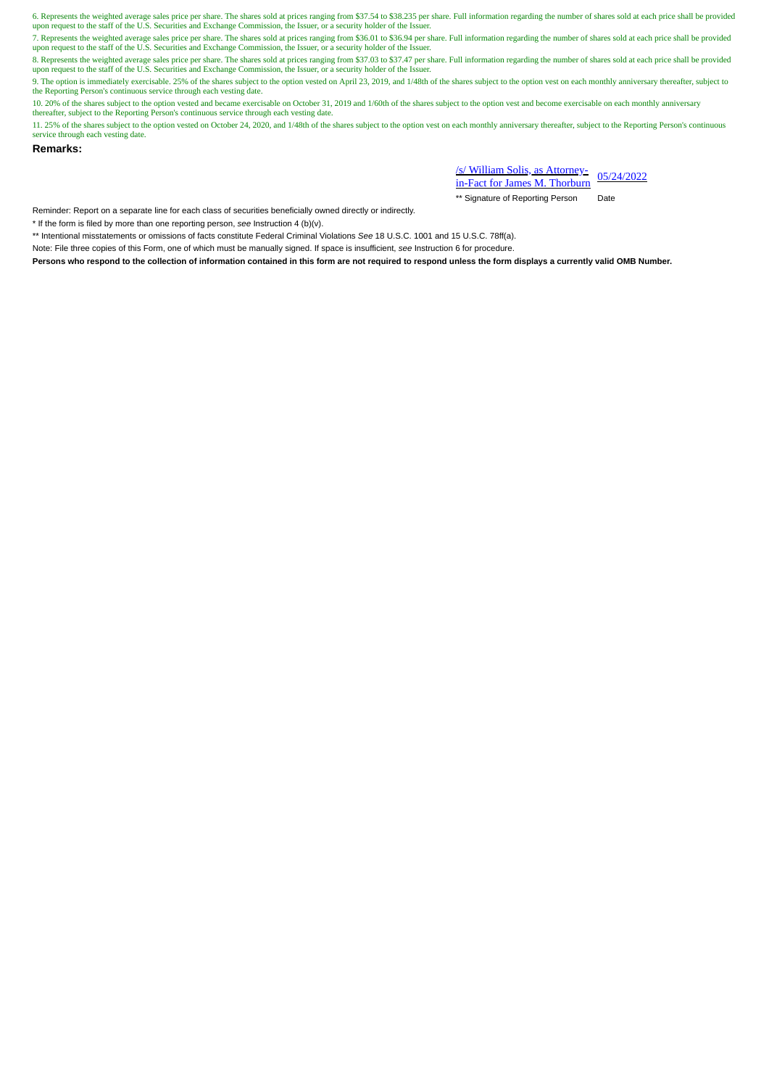6. Represents the weighted average sales price per share. The shares sold at prices ranging from \$37.54 to \$38.235 per share. Full information regarding the number of shares sold at each price shall be provided<br>upon reques

7. Represents the weighted average sales price per share. The shares sold at prices ranging from \$36.01 to \$36.94 per share. Full information regarding the number of shares sold at each price shall be provided upon request to the staff of the U.S. Securities and Exchange Commission, the Issuer, or a security holder of the Issuer.

8. Represents the weighted average sales price per share. The shares sold at prices ranging from \$37.03 to \$37.47 per share. Full information regarding the number of shares sold at each price shall be provided upon request

9. The option is immediately exercisable. 25% of the shares subject to the option vested on April 23, 2019, and 1/48th of the shares subject to the option vest on each monthly anniversary thereafter, subject to the Reporting Person's continuous service through each vesting date.

10. 20% of the shares subject to the option vested and became exercisable on October 31, 2019 and 1/60th of the shares subject to the option vest and become exercisable on each monthly anniversary<br>thereafter, subject to th

11. 25% of the shares subject to the option vested on October 24, 2020, and 1/48th of the shares subject to the option vest on each monthly anniversary thereafter, subject to the Reporting Person's continuous service through each vesting date.

**Remarks:**

/s/ William Solis, as Attorney-<u>in-Fact for James M. Thorburn</u> 05/24/2022

\*\* Signature of Reporting Person Date

Reminder: Report on a separate line for each class of securities beneficially owned directly or indirectly.

\* If the form is filed by more than one reporting person, *see* Instruction 4 (b)(v).

\*\* Intentional misstatements or omissions of facts constitute Federal Criminal Violations *See* 18 U.S.C. 1001 and 15 U.S.C. 78ff(a).

Note: File three copies of this Form, one of which must be manually signed. If space is insufficient, *see* Instruction 6 for procedure.

**Persons who respond to the collection of information contained in this form are not required to respond unless the form displays a currently valid OMB Number.**